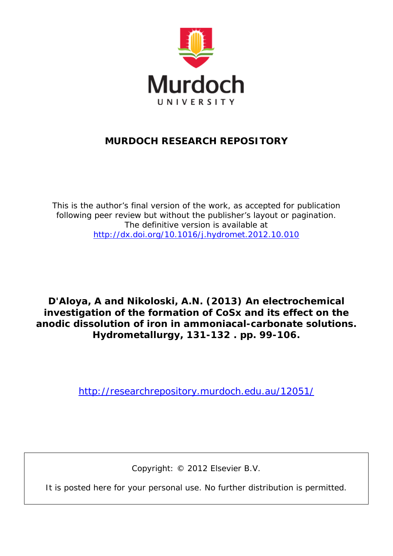

### **MURDOCH RESEARCH REPOSITORY**

*This is the author's final version of the work, as accepted for publication following peer review but without the publisher's layout or pagination. The definitive version is available at <http://dx.doi.org/10.1016/j.hydromet.2012.10.010>*

**D'Aloya, A and Nikoloski, A.N. (2013)** *An electrochemical investigation of the formation of CoSx and its effect on the anodic dissolution of iron in ammoniacal-carbonate solutions.* **Hydrometallurgy, 131-132 . pp. 99-106.**

<http://researchrepository.murdoch.edu.au/12051/>

Copyright: © 2012 Elsevier B.V.

It is posted here for your personal use. No further distribution is permitted.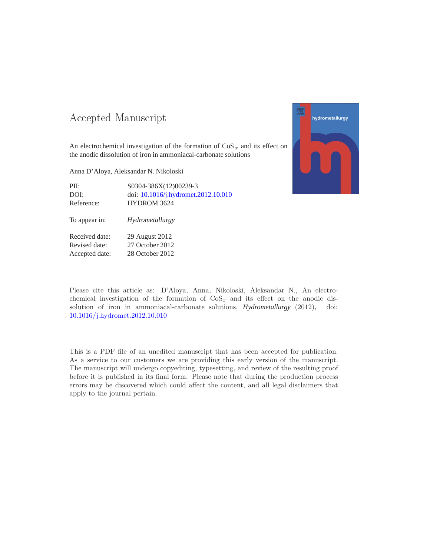### -- -

An electrochemical investigation of the formation of  $\cos x$  and its effect on the anodic dissolution of iron in ammoniacal-carbonate solutions

Anna D'Aloya, Aleksandar N. Nikoloski

Accepted date: 28 October 2012

| PII:           | S0304-386X(12)00239-3               |
|----------------|-------------------------------------|
| DOI:           | doi: 10.1016/j.hydromet.2012.10.010 |
| Reference:     | <b>HYDROM 3624</b>                  |
| To appear in:  | Hydrometallurgy                     |
| Received date: | 29 August 2012                      |
| Revised date:  | 27 October 2012                     |



Please cite this article as: D'Aloya, Anna, Nikoloski, Aleksandar N., An electrochemical investigation of the formation of  $\cos x$  and its effect on the anodic dissolution of iron in ammoniacal-carbonate solutions, *Hydrometallurgy* (2012), doi: [10.1016/j.hydromet.2012.10.010](http://dx.doi.org/10.1016/j.hydromet.2012.10.010)

This is a PDF file of an unedited manuscript that has been accepted for publication. As a service to our customers we are providing this early version of the manuscript. The manuscript will undergo copyediting, typesetting, and review of the resulting proof before it is published in its final form. Please note that during the production process errors may be discovered which could affect the content, and all legal disclaimers that apply to the journal pertain.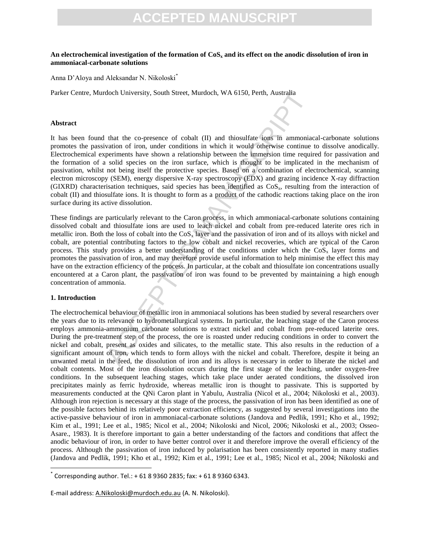#### **An electrochemical investigation of the formation of CoS<sup>x</sup> and its effect on the anodic dissolution of iron in ammoniacal-carbonate solutions**

Anna D'Aloya and Aleksandar N. Nikoloski\*

Parker Centre, Murdoch University, South Street, Murdoch, WA 6150, Perth, Australia

#### **Abstract**

It has been found that the co-presence of cobalt (II) and thiosulfate ions in ammoniacal-carbonate solutions promotes the passivation of iron, under conditions in which it would otherwise continue to dissolve anodically. Electrochemical experiments have shown a relationship between the immersion time required for passivation and the formation of a solid species on the iron surface, which is thought to be implicated in the mechanism of passivation, whilst not being itself the protective species. Based on a combination of electrochemical, scanning electron microscopy (SEM), energy dispersive X-ray spectroscopy (EDX) and grazing incidence X-ray diffraction (GIXRD) characterisation techniques, said species has been identified as CoSx, resulting from the interaction of cobalt (II) and thiosulfate ions. It is thought to form as a product of the cathodic reactions taking place on the iron surface during its active dissolution.

doch University, South Street, Murdoch, WA 6150, Perth, Australia<br>
that the co-presence of cobalt (II) and thiosulfate tons in ammoniac<br>
vation of iron, under conditions in which it would otherwise continue<br>
periments have These findings are particularly relevant to the Caron process, in which ammoniacal-carbonate solutions containing dissolved cobalt and thiosulfate ions are used to leach nickel and cobalt from pre-reduced laterite ores rich in metallic iron. Both the loss of cobalt into the  $\cos<sub>x</sub>$  layer and the passivation of iron and of its alloys with nickel and cobalt, are potential contributing factors to the low cobalt and nickel recoveries, which are typical of the Caron process. This study provides a better understanding of the conditions under which the  $\cos x$  layer forms and promotes the passivation of iron, and may therefore provide useful information to help minimise the effect this may have on the extraction efficiency of the process. In particular, at the cobalt and thiosulfate ion concentrations usually encountered at a Caron plant, the passivation of iron was found to be prevented by maintaining a high enough concentration of ammonia.

#### **1. Introduction**

 $\overline{\phantom{a}}$ 

The electrochemical behaviour of metallic iron in ammoniacal solutions has been studied by several researchers over the years due to its relevance to hydrometallurgical systems. In particular, the leaching stage of the Caron process employs ammonia-ammonium carbonate solutions to extract nickel and cobalt from pre-reduced laterite ores. During the pre-treatment step of the process, the ore is roasted under reducing conditions in order to convert the nickel and cobalt, present as oxides and silicates, to the metallic state. This also results in the reduction of a significant amount of iron, which tends to form alloys with the nickel and cobalt. Therefore, despite it being an unwanted metal in the feed, the dissolution of iron and its alloys is necessary in order to liberate the nickel and cobalt contents. Most of the iron dissolution occurs during the first stage of the leaching, under oxygen-free conditions. In the subsequent leaching stages, which take place under aerated conditions, the dissolved iron precipitates mainly as ferric hydroxide, whereas metallic iron is thought to passivate. This is supported by measurements conducted at the QNi Caron plant in Yabulu, Australia (Nicol et al., 2004; Nikoloski et al., 2003). Although iron rejection is necessary at this stage of the process, the passivation of iron has been identified as one of the possible factors behind its relatively poor extraction efficiency, as suggested by several investigations into the active-passive behaviour of iron in ammoniacal-carbonate solutions (Jandova and Pedlik, 1991; Kho et al., 1992; Kim et al., 1991; Lee et al., 1985; Nicol et al., 2004; Nikoloski and Nicol, 2006; Nikoloski et al., 2003; Osseo-Asare., 1983). It is therefore important to gain a better understanding of the factors and conditions that affect the anodic behaviour of iron, in order to have better control over it and therefore improve the overall efficiency of the process. Although the passivation of iron induced by polarisation has been consistently reported in many studies (Jandova and Pedlik, 1991; Kho et al., 1992; Kim et al., 1991; Lee et al., 1985; Nicol et al., 2004; Nikoloski and

E-mail address: [A.Nikoloski@murdoch.edu.au](mailto:A.Nikoloski@murdoch.edu.au) (A. N. Nikoloski).

<sup>\*</sup> Corresponding author. Tel.: + 61 8 9360 2835; fax: + 61 8 9360 6343.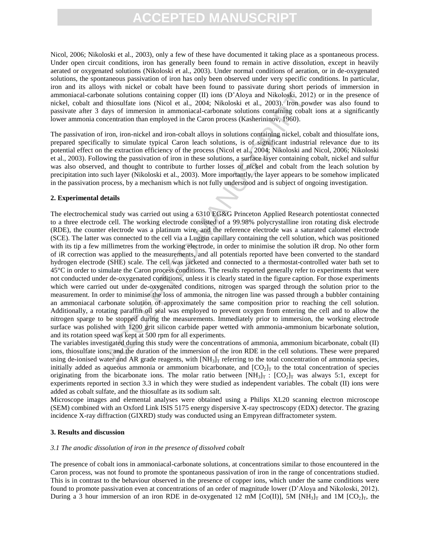Nicol, 2006; Nikoloski et al., 2003), only a few of these have documented it taking place as a spontaneous process. Under open circuit conditions, iron has generally been found to remain in active dissolution, except in heavily aerated or oxygenated solutions (Nikoloski et al., 2003). Under normal conditions of aeration, or in de-oxygenated solutions, the spontaneous passivation of iron has only been observed under very specific conditions. In particular, iron and its alloys with nickel or cobalt have been found to passivate during short periods of immersion in ammoniacal-carbonate solutions containing copper (II) ions (D'Aloya and Nikoloski, 2012) or in the presence of nickel, cobalt and thiosulfate ions (Nicol et al., 2004; Nikoloski et al., 2003). Iron powder was also found to passivate after 3 days of immersion in ammoniacal-carbonate solutions containing cobalt ions at a significantly lower ammonia concentration than employed in the Caron process (Kasherininov, 1960).

The passivation of iron, iron-nickel and iron-cobalt alloys in solutions containing nickel, cobalt and thiosulfate ions, prepared specifically to simulate typical Caron leach solutions, is of significant industrial relevance due to its potential effect on the extraction efficiency of the process (Nicol et al., 2004; Nikoloski and Nicol, 2006; Nikoloski et al., 2003). Following the passivation of iron in these solutions, a surface layer containing cobalt, nickel and sulfur was also observed, and thought to contribute to further losses of nickel and cobalt from the leach solution by precipitation into such layer (Nikoloski et al., 2003). More importantly, the layer appears to be somehow implicated in the passivation process, by a mechanism which is not fully understood and is subject of ongoing investigation.

#### **2. Experimental details**

ate solutions containing copper (II) ions (D'Aloya and Nikoloski, 2012<br>this chiosultie ions (Nicol et al., 2004; Nikoloski et al., 2003). Iron power<br>anys of immersion in amoniacal-carbonate solutions containing cobalt<br>cent The electrochemical study was carried out using a 6310 EG&G Princeton Applied Research potentiostat connected to a three electrode cell. The working electrode consisted of a 99.98% polycrystalline iron rotating disk electrode (RDE), the counter electrode was a platinum wire, and the reference electrode was a saturated calomel electrode (SCE). The latter was connected to the cell via a Luggin capillary containing the cell solution, which was positioned with its tip a few millimetres from the working electrode, in order to minimise the solution iR drop. No other form of iR correction was applied to the measurements, and all potentials reported have been converted to the standard hydrogen electrode (SHE) scale. The cell was jacketed and connected to a thermostat-controlled water bath set to 45°C in order to simulate the Caron process conditions. The results reported generally refer to experiments that were not conducted under de-oxygenated conditions, unless it is clearly stated in the figure caption. For those experiments which were carried out under de-oxygenated conditions, nitrogen was sparged through the solution prior to the measurement. In order to minimise the loss of ammonia, the nitrogen line was passed through a bubbler containing an ammoniacal carbonate solution of approximately the same composition prior to reaching the cell solution. Additionally, a rotating paraffin oil seal was employed to prevent oxygen from entering the cell and to allow the nitrogen sparge to be stopped during the measurements. Immediately prior to immersion, the working electrode surface was polished with 1200 grit silicon carbide paper wetted with ammonia-ammonium bicarbonate solution, and its rotation speed was kept at 500 rpm for all experiments.

The variables investigated during this study were the concentrations of ammonia, ammonium bicarbonate, cobalt (II) ions, thiosulfate ions, and the duration of the immersion of the iron RDE in the cell solutions. These were prepared using de-ionised water and AR grade reagents, with  $[NH_3]_T$  referring to the total concentration of ammonia species, initially added as aqueous ammonia or ammonium bicarbonate, and  $[CO<sub>2</sub>]<sub>T</sub>$  to the total concentration of species originating from the bicarbonate ions. The molar ratio between  $[NH_3]_T$ :  $[CO_2]_T$  was always 5:1, except for experiments reported in section 3.3 in which they were studied as independent variables. The cobalt (II) ions were added as cobalt sulfate, and the thiosulfate as its sodium salt.

Microscope images and elemental analyses were obtained using a Philips XL20 scanning electron microscope (SEM) combined with an Oxford Link ISIS 5175 energy dispersive X-ray spectroscopy (EDX) detector. The grazing incidence X-ray diffraction (GIXRD) study was conducted using an Empyrean diffractometer system.

#### **3. Results and discussion**

#### *3.1 The anodic dissolution of iron in the presence of dissolved cobalt*

The presence of cobalt ions in ammoniacal-carbonate solutions, at concentrations similar to those encountered in the Caron process, was not found to promote the spontaneous passivation of iron in the range of concentrations studied. This is in contrast to the behaviour observed in the presence of copper ions, which under the same conditions were found to promote passivation even at concentrations of an order of magnitude lower (D'Aloya and Nikoloski, 2012). During a 3 hour immersion of an iron RDE in de-oxygenated 12 mM [Co(II)], 5M [NH<sub>3</sub>]<sub>T</sub> and 1M [CO<sub>2</sub>]<sub>T</sub>, the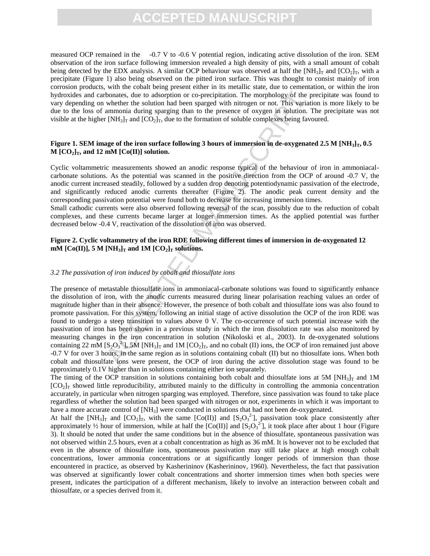measured OCP remained in the -0.7 V to -0.6 V potential region, indicating active dissolution of the iron. SEM observation of the iron surface following immersion revealed a high density of pits, with a small amount of cobalt being detected by the EDX analysis. A similar OCP behaviour was observed at half the  $[NH_3]_T$  and  $[CO_2]_T$ , with a precipitate (Figure 1) also being observed on the pitted iron surface. This was thought to consist mainly of iron corrosion products, with the cobalt being present either in its metallic state, due to cementation, or within the iron hydroxides and carbonates, due to adsorption or co-precipitation. The morphology of the precipitate was found to vary depending on whether the solution had been sparged with nitrogen or not. This variation is more likely to be due to the loss of ammonia during sparging than to the presence of oxygen in solution. The precipitate was not visible at the higher  $[NH_3]_T$  and  $[CO_2]_T$ , due to the formation of soluble complexes being favoured.

#### **Figure 1. SEM image of the iron surface following 3 hours of immersion in de-oxygenated 2.5 M [NH3]T, 0.5**   $M [CO<sub>2</sub>]$ <sub>T</sub>, and 12 mM  $[Co(II)]$  solution.

Cyclic voltammetric measurements showed an anodic response typical of the behaviour of iron in ammoniacalcarbonate solutions. As the potential was scanned in the positive direction from the OCP of around -0.7 V, the anodic current increased steadily, followed by a sudden drop denoting potentiodynamic passivation of the electrode, and significantly reduced anodic currents thereafter (Figure 2). The anodic peak current density and the corresponding passivation potential were found both to decrease for increasing immersion times.

Small cathodic currents were also observed following reversal of the scan, possibly due to the reduction of cobalt complexes, and these currents became larger at longer immersion times. As the applied potential was further decreased below -0.4 V, reactivation of the dissolution of iron was observed.

#### **Figure 2. Cyclic voltammetry of the iron RDE following different times of immersion in de-oxygenated 12**   $mM$  [Co(II)], 5 M [NH<sub>3</sub>]<sub>T</sub> and 1M [CO<sub>2</sub>]<sub>T</sub> solutions.

#### *3.2 The passivation of iron induced by cobalt and thiosulfate ions*

bonates, due to adsorption or co-precipitation. The morphology of the publement the solution had been spared with nitregen or not. This variation had been spared with nitregen or not. This variation from a momonia during The presence of metastable thiosulfate ions in ammoniacal-carbonate solutions was found to significantly enhance the dissolution of iron, with the anodic currents measured during linear polarisation reaching values an order of magnitude higher than in their absence. However, the presence of both cobalt and thiosulfate ions was also found to promote passivation. For this system, following an initial stage of active dissolution the OCP of the iron RDE was found to undergo a steep transition to values above 0 V. The co-occurrence of such potential increase with the passivation of iron has been shown in a previous study in which the iron dissolution rate was also monitored by measuring changes in the iron concentration in solution (Nikoloski et al., 2003). In de-oxygenated solutions containing 22 mM  $[S_2O_3^2]$ , 5M  $[NH_3]_T$  and 1M  $[CO_2]_T$ , and no cobalt (II) ions, the OCP of iron remained just above -0.7 V for over 3 hours, in the same region as in solutions containing cobalt (II) but no thiosulfate ions. When both cobalt and thiosulfate ions were present, the OCP of iron during the active dissolution stage was found to be approximately 0.1V higher than in solutions containing either ion separately.

The timing of the OCP transition in solutions containing both cobalt and thiosulfate ions at 5M  $[NH_3]_T$  and 1M  $[CO<sub>2</sub>]<sub>T</sub>$  showed little reproducibility, attributed mainly to the difficulty in controlling the ammonia concentration accurately, in particular when nitrogen sparging was employed. Therefore, since passivation was found to take place regardless of whether the solution had been sparged with nitrogen or not, experiments in which it was important to have a more accurate control of [NH<sub>3</sub>] were conducted in solutions that had not been de-oxygenated.

At half the  $[NH_3]_T$  and  $[CO_2]_T$ , with the same  $[Co(II)]$  and  $[S_2O_3^2]$ , passivation took place consistently after approximately  $\frac{1}{2}$  hour of immersion, while at half the [Co(II)] and [S<sub>2</sub>O<sub>3</sub><sup>2</sup>], it took place after about 1 hour (Figure 3). It should be noted that under the same conditions but in the absence of thiosulfate, spontaneous passivation was not observed within 2.5 hours, even at a cobalt concentration as high as 36 mM. It is however not to be excluded that even in the absence of thiosulfate ions, spontaneous passivation may still take place at high enough cobalt concentrations, lower ammonia concentrations or at significantly longer periods of immersion than those encountered in practice, as observed by Kasherininov (Kasherininov, 1960). Nevertheless, the fact that passivation was observed at significantly lower cobalt concentrations and shorter immersion times when both species were present, indicates the participation of a different mechanism, likely to involve an interaction between cobalt and thiosulfate, or a species derived from it.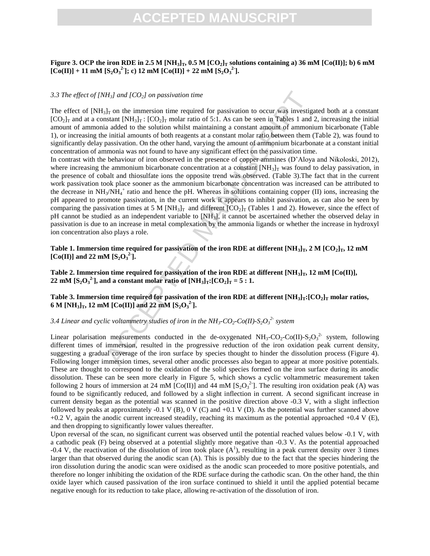### **CEPTED MANUS**

### **Figure 3. OCP the iron RDE in 2.5 M**  $[NH_3]_T$ **, 0.5 M**  $[CO_2]_T$  **solutions containing a) 36 mM**  $[Co(II)]$ **; b) 6 mM**  $[C_0(\text{II})] + 11 \text{ mM } [S_2O_3^2]$ ; c) 12 mM  $[C_0(\text{II})] + 22 \text{ mM } [S_2O_3^2]$ .

#### *3.3 The effect of [NH3] and [CO2] on passivation time*

The effect of  $[NH_3]_T$  on the immersion time required for passivation to occur was investigated both at a constant  $[CO_2]_T$  and at a constant  $[NH_3]_T$ :  $[CO_2]_T$  molar ratio of 5:1. As can be seen in Tables 1 and 2, increasing the initial amount of ammonia added to the solution whilst maintaining a constant amount of ammonium bicarbonate (Table 1), or increasing the initial amounts of both reagents at a constant molar ratio between them (Table 2), was found to significantly delay passivation. On the other hand, varying the amount of ammonium bicarbonate at a constant initial concentration of ammonia was not found to have any significant effect on the passivation time.

 $H_2$ ] and  $[CO_2]$  on passivation time<br>sl<sub>1</sub>T on the immersion time required for passivation to occur was investigated to the ights and test of 5:1. As can be seen in Tables 1 and the and the and the and the solution whil In contrast with the behaviour of iron observed in the presence of copper ammines (D'Aloya and Nikoloski, 2012), where increasing the ammonium bicarbonate concentration at a constant  $[NH_3]_T$  was found to delay passivation, in the presence of cobalt and thiosulfate ions the opposite trend was observed. (Table 3).The fact that in the current work passivation took place sooner as the ammonium bicarbonate concentration was increased can be attributed to the decrease in NH<sub>3</sub>/NH<sub>4</sub><sup>+</sup> ratio and hence the pH. Whereas in solutions containing copper (II) ions, increasing the pH appeared to promote passivation, in the current work it appears to inhibit passivation, as can also be seen by comparing the passivation times at 5 M  $[NH_3]_T$  and different  $[CO_2]_T$  (Tables 1 and 2). However, since the effect of pH cannot be studied as an independent variable to [NH3], it cannot be ascertained whether the observed delay in passivation is due to an increase in metal complexation by the ammonia ligands or whether the increase in hydroxyl ion concentration also plays a role.

**Table 1. Immersion time required for passivation of the iron RDE at different**  $[\text{NH}_3]_T$ **, 2 M**  $[\text{CO}_2]_T$ **, 12 mM**  $[Co(II)]$  and 22 mM  $[S_2O_3^2]$ .

**Table 2. Immersion time required for passivation of the iron RDE at different**  $[NH_3]_T$ **, 12 mM**  $[Co(II)]$ **, 22 mM** [S<sub>2</sub>O<sub>3</sub><sup>2</sup>], and a constant molar ratio of [NH<sub>3</sub>]<sub>T</sub>:[CO<sub>2</sub>]<sub>T</sub> = 5 : 1.

### **Table 3. Immersion time required for passivation of the iron RDE at different [NH3]T:[CO2]<sup>T</sup> molar ratios, 6 M** [NH<sub>3</sub>]<sub>T</sub>, 12 mM [Co(II)] and 22 mM [S<sub>2</sub>O<sub>3</sub><sup>2</sup>].

### *3.4 Linear and cyclic voltammetry studies of iron in the NH3-CO2-Co(II)-S2O<sup>3</sup> 2- system*

Linear polarisation measurements conducted in the de-oxygenated  $NH_3\text{-}CO_2\text{-}Co(II)\text{-}S_2O_3^2$  system, following different times of immersion, resulted in the progressive reduction of the iron oxidation peak current density, suggesting a gradual coverage of the iron surface by species thought to hinder the dissolution process (Figure 4). Following longer immersion times, several other anodic processes also began to appear at more positive potentials. These are thought to correspond to the oxidation of the solid species formed on the iron surface during its anodic dissolution. These can be seen more clearly in Figure 5, which shows a cyclic voltammetric measurement taken following 2 hours of immersion at 24 mM  $[Co(II)]$  and 44 mM  $[S_2O_3^2]$ . The resulting iron oxidation peak (A) was found to be significantly reduced, and followed by a slight inflection in current. A second significant increase in current density began as the potential was scanned in the positive direction above -0.3 V, with a slight inflection followed by peaks at approximately -0.1 V (B), 0 V (C) and +0.1 V (D). As the potential was further scanned above  $+0.2$  V, again the anodic current increased steadily, reaching its maximum as the potential approached  $+0.4$  V (E), and then dropping to significantly lower values thereafter.

Upon reversal of the scan, no significant current was observed until the potential reached values below -0.1 V, with a cathodic peak (F) being observed at a potential slightly more negative than -0.3 V. As the potential approached  $-0.4$  V, the reactivation of the dissolution of iron took place  $(A^1)$ , resulting in a peak current density over 3 times larger than that observed during the anodic scan (A). This is possibly due to the fact that the species hindering the iron dissolution during the anodic scan were oxidised as the anodic scan proceeded to more positive potentials, and therefore no longer inhibiting the oxidation of the RDE surface during the cathodic scan. On the other hand, the thin oxide layer which caused passivation of the iron surface continued to shield it until the applied potential became negative enough for its reduction to take place, allowing re-activation of the dissolution of iron.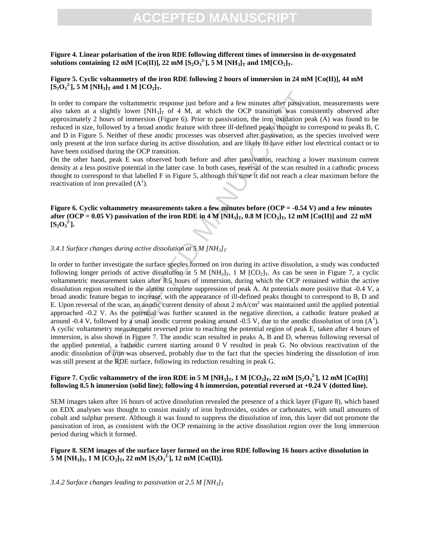### **CCEPTED MANUS**

### **Figure 4. Linear polarisation of the iron RDE following different times of immersion in de-oxygenated**   $\bf s$  solutions containing 12 mM [Co(II)], 22 mM [S<sub>2</sub>O<sub>3</sub><sup>2</sup>], 5 M [NH<sub>3</sub>]<sub>T</sub> and 1M[CO<sub>2</sub>]<sub>T</sub>.

### **Figure 5. Cyclic voltammetry of the iron RDE following 2 hours of immersion in 24 mM [Co(II)], 44 mM**   $[S_2O_3^2]$ , 5 M  $[NH_3]_T$  and 1 M  $[CO_2]_T$ .

In order to compare the voltammetric response just before and a few minutes after passivation, measurements were also taken at a slightly lower  $[NH_3]_T$  of 4 M, at which the OCP transition was consistently observed after approximately 2 hours of immersion (Figure 6). Prior to passivation, the iron oxidation peak (A) was found to be reduced in size, followed by a broad anodic feature with three ill-defined peaks thought to correspond to peaks B, C and D in Figure 5. Neither of these anodic processes was observed after passivation, as the species involved were only present at the iron surface during its active dissolution, and are likely to have either lost electrical contact or to have been oxidised during the OCP transition.

On the other hand, peak E was observed both before and after passivation, reaching a lower maximum current density at a less positive potential in the latter case. In both cases, reversal of the scan resulted in a cathodic process thought to correspond to that labelled F in Figure 5, although this time it did not reach a clear maximum before the reactivation of iron prevailed  $(A^1)$ .

**Figure 6. Cyclic voltammetry measurements taken a few minutes before (OCP = -0.54 V) and a few minutes after (OCP = 0.05 V)** passivation of the iron RDE in  $4 \text{ M } [\text{NH}_3]_T$ , 0.8 M  $[\text{CO}_2]_T$ , 12 mM  $[\text{Co(II)}]$  and 22 mM  $[S_2O_3^2]$ 

#### *3.4.1 Surface changes during active dissolution at 5 M*  $[NH_3]_T$

is the hold than the compones in the two minutes after passivaties<br>hyby lower (NH<sub>3</sub>1<sub>7</sub> of 4 M, at which the OCP transition was consisted<br>ightly lower (NH<sub>3</sub>1<sub>7</sub> of 4 M, at which the OCP transition was consisted<br>in the c In order to further investigate the surface species formed on iron during its active dissolution, a study was conducted following longer periods of active dissolution at 5 M  $[NH_3]_T$ , 1 M  $[CO_2]_T$ . As can be seen in Figure 7, a cyclic voltammetric measurement taken after 8.5 hours of immersion, during which the OCP remained within the active dissolution region resulted in the almost complete suppression of peak A. At potentials more positive that -0.4 V, a broad anodic feature began to increase, with the appearance of ill-defined peaks thought to correspond to B, D and E. Upon reversal of the scan, an anodic current density of about 2 mA/cm<sup>2</sup> was maintained until the applied potential approached -0.2 V. As the potential was further scanned in the negative direction, a cathodic feature peaked at around -0.4 V, followed by a small anodic current peaking around -0.5 V, due to the anodic dissolution of iron  $(A^1)$ . A cyclic voltammetry measurement reversed prior to reaching the potential region of peak E, taken after 4 hours of immersion, is also shown in Figure 7. The anodic scan resulted in peaks A, B and D, whereas following reversal of the applied potential, a cathodic current starting around 0 V resulted in peak G. No obvious reactivation of the anodic dissolution of iron was observed, probably due to the fact that the species hindering the dissolution of iron was still present at the RDE surface, following its reduction resulting in peak G.

#### **Figure 7.** Cyclic voltammetry of the iron RDE in 5 M [NH<sub>3</sub>]<sub>T</sub>, 1 M [CO<sub>2</sub>]<sub>T</sub>, 22 mM [S<sub>2</sub>O<sub>3</sub><sup>2</sup>], 12 mM [Co(II)] **following 8.5 h immersion (solid line); following 4 h immersion, potential reversed at +0.24 V (dotted line).**

SEM images taken after 16 hours of active dissolution revealed the presence of a thick layer (Figure 8), which based on EDX analyses was thought to consist mainly of iron hydroxides, oxides or carbonates, with small amounts of cobalt and sulphur present. Although it was found to suppress the dissolution of iron, this layer did not promote the passivation of iron, as consistent with the OCP remaining in the active dissolution region over the long immersion period during which it formed.

#### **Figure 8. SEM images of the surface layer formed on the iron RDE following 16 hours active dissolution in 5 M** [NH<sub>3</sub>]<sub>T</sub>, 1 **M** [CO<sub>2</sub>]<sub>T</sub>, 22 **mM** [S<sub>2</sub>O<sub>3</sub><sup>2</sup>], 12 **mM** [Co(II)].

*3.4.2 Surface changes leading to passivation at 2.5 M [NH3]T*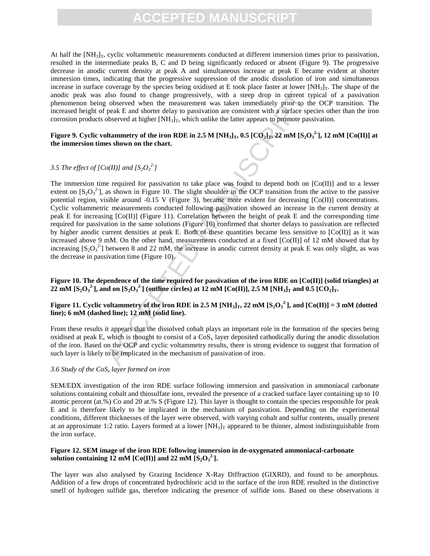### **CEPTED MANUS**

At half the  $[NH_3]_T$ , cyclic voltammetric measurements conducted at different immersion times prior to passivation, resulted in the intermediate peaks B, C and D being significantly reduced or absent (Figure 9). The progressive decrease in anodic current density at peak A and simultaneous increase at peak E became evident at shorter immersion times, indicating that the progressive suppression of the anodic dissolution of iron and simultaneous increase in surface coverage by the species being oxidised at E took place faster at lower  $[NH_3]_T$ . The shape of the anodic peak was also found to change progressively, with a steep drop in current typical of a passivation phenomenon being observed when the measurement was taken immediately prior to the OCP transition. The increased height of peak E and shorter delay to passivation are consistent with a surface species other than the iron corrosion products observed at higher  $[NH_3]_T$ , which unlike the latter appears to promote passivation.

#### **Figure 9.** Cyclic voltammetry of the iron RDE in 2.5 M [NH<sub>3</sub>]<sub>T</sub>, 0.5 [CO<sub>2</sub>]<sub>T</sub>, 22 mM [S<sub>2</sub>O<sub>3</sub><sup>2</sup>], 12 mM [Co(II)] at **the immersion times shown on the chart.**

### *3.5 The effect of [Co(II)] and [S<sub>2</sub>O<sub>3</sub><sup>2</sup>]</sub>*

also found to change progressively, with a steep drop in current ty<br>a beserved when the measurement was taken immediately prior to the<br>peak E and shorter delay to passivation are consistent with a sarface speed<br>observed a The immersion time required for passivation to take place was found to depend both on  $[Co(II)]$  and to a lesser extent on  $[S_2O_3^2]$ , as shown in Figure 10. The slight shoulder in the OCP transition from the active to the passive potential region, visible around -0.15 V (Figure 3), became more evident for decreasing [Co(II)] concentrations. Cyclic voltammetric measurements conducted following passivation showed an increase in the current density at peak E for increasing [Co(II)] (Figure 11). Correlation between the height of peak E and the corresponding time required for passivation in the same solutions (Figure 10) confirmed that shorter delays to passivation are reflected by higher anodic current densities at peak E. Both of these quantities became less sensitive to  $[Co(II)]$  as it was increased above 9 mM. On the other hand, measurements conducted at a fixed  $[Co(II)]$  of 12 mM showed that by increasing  $[S_2O_3^2]$  between 8 and 22 mM, the increase in anodic current density at peak E was only slight, as was the decrease in passivation time (Figure 10).

**Figure 10. The dependence of the time required for passivation of the iron RDE on [Co(II)] (solid triangles) at**  22 mM [S<sub>2</sub>O<sub>3</sub><sup>2</sup>], and on [S<sub>2</sub>O<sub>3</sub><sup>2</sup>] (outline circles) at 12 mM [Co(II)], 2.5 M [NH<sub>3</sub>]<sub>T</sub> and 0.5 [CO<sub>2</sub>]<sub>T</sub>.

### **Figure 11.** Cyclic voltammetry of the iron RDE in 2.5 M [NH<sub>3</sub>]<sub>T</sub>, 22 mM [S<sub>2</sub>O<sub>3</sub><sup>2</sup>], and [Co(II)] = 3 mM (dotted **line); 6 mM (dashed line); 12 mM (solid line).**

From these results it appears that the dissolved cobalt plays an important role in the formation of the species being oxidised at peak E, which is thought to consist of a  $\cos_x$  layer deposited cathodically during the anodic dissolution of the iron. Based on the OCP and cyclic voltammetry results, there is strong evidence to suggest that formation of such layer is likely to be implicated in the mechanism of passivation of iron.

#### *3.6 Study of the CoS<sup>x</sup> layer formed on iron*

SEM/EDX investigation of the iron RDE surface following immersion and passivation in ammoniacal carbonate solutions containing cobalt and thiosulfate ions, revealed the presence of a cracked surface layer containing up to 10 atomic percent (at.%) Co and 20 at.% S (Figure 12). This layer is thought to contain the species responsible for peak E and is therefore likely to be implicated in the mechanism of passivation. Depending on the experimental conditions, different thicknesses of the layer were observed, with varying cobalt and sulfur contents, usually present at an approximate 1:2 ratio. Layers formed at a lower  $[NH_3]_T$  appeared to be thinner, almost indistinguishable from the iron surface.

#### **Figure 12. SEM image of the iron RDE following immersion in de-oxygenated ammoniacal-carbonate solution containing 12 mM [Co(II)] and 22 mM [S<sub>2</sub>O<sub>3</sub><sup>2</sup>].**

The layer was also analysed by Grazing Incidence X-Ray Diffraction (GIXRD), and found to be amorphous. Addition of a few drops of concentrated hydrochloric acid to the surface of the iron RDE resulted in the distinctive smell of hydrogen sulfide gas, therefore indicating the presence of sulfide ions. Based on these observations it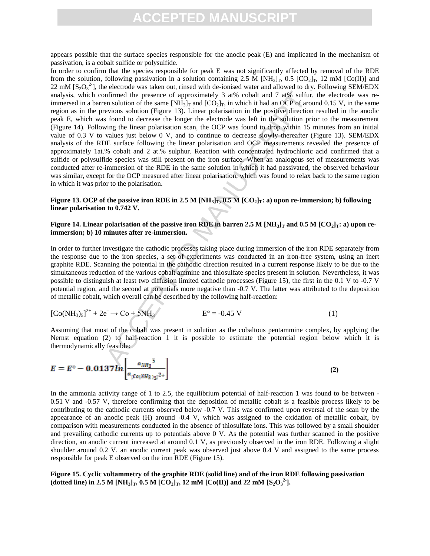appears possible that the surface species responsible for the anodic peak (E) and implicated in the mechanism of passivation, is a cobalt sulfide or polysulfide.

mfirmed the presence of approximately 3 at% cobalt and 7 at% sulfur,<br>no solution of the same [NH<sub>3</sub>], and [CO<sub>2</sub>]<sub>r</sub>, in which it had an OCP of arco-<br>evious solution (Figure 13). Linear polarisation in the positive direct In order to confirm that the species responsible for peak E was not significantly affected by removal of the RDE from the solution, following passivation in a solution containing 2.5 M [NH<sub>3</sub>]<sub>T</sub>, 0.5 [CO<sub>2</sub>]<sub>T</sub>, 12 mM [Co(II)] and 22 mM  $[S_2O_3^2]$ , the electrode was taken out, rinsed with de-ionised water and allowed to dry. Following SEM/EDX analysis, which confirmed the presence of approximately 3 at% cobalt and 7 at% sulfur, the electrode was reimmersed in a barren solution of the same  $[NH_3]_T$  and  $[CO_2]_T$ , in which it had an OCP of around 0.15 V, in the same region as in the previous solution (Figure 13). Linear polarisation in the positive direction resulted in the anodic peak E, which was found to decrease the longer the electrode was left in the solution prior to the measurement (Figure 14). Following the linear polarisation scan, the OCP was found to drop within 15 minutes from an initial value of 0.3 V to values just below 0 V, and to continue to decrease slowly thereafter (Figure 13). SEM/EDX analysis of the RDE surface following the linear polarisation and OCP measurements revealed the presence of approximately 1at.% cobalt and 2 at.% sulphur. Reaction with concentrated hydrochloric acid confirmed that a sulfide or polysulfide species was still present on the iron surface. When an analogous set of measurements was conducted after re-immersion of the RDE in the same solution in which it had passivated, the observed behaviour was similar, except for the OCP measured after linear polarisation, which was found to relax back to the same region in which it was prior to the polarisation.

#### **Figure 13. OCP of the passive iron RDE in 2.5 M**  $[NH_3]_T$ **, 0.5 M**  $[CO_2]_T$ **: a) upon re-immersion; b) following linear polarisation to 0.742 V.**

#### **Figure 14. Linear polarisation of the passive iron RDE in barren 2.5 M [NH<sub>3</sub>]<sub>T</sub> and 0.5 M [CO<sub>2</sub>]<sub>T</sub>: a) upon reimmersion; b) 10 minutes after re-immersion.**

In order to further investigate the cathodic processes taking place during immersion of the iron RDE separately from the response due to the iron species, a set of experiments was conducted in an iron-free system, using an inert graphite RDE. Scanning the potential in the cathodic direction resulted in a current response likely to be due to the simultaneous reduction of the various cobalt ammine and thiosulfate species present in solution. Nevertheless, it was possible to distinguish at least two diffusion limited cathodic processes (Figure 15), the first in the 0.1 V to -0.7 V potential region, and the second at potentials more negative than -0.7 V. The latter was attributed to the deposition of metallic cobalt, which overall can be described by the following half-reaction:

$$
[Co(NH3)5]2+ + 2e^- \to Co + 5NH3
$$
 E<sup>o</sup> = -0.45 V (1)

Assuming that most of the cobalt was present in solution as the cobaltous pentammine complex, by applying the Nernst equation (2) to half-reaction 1 it is possible to estimate the potential region below which it is thermodynamically feasible:

$$
E = E^{\circ} - 0.0137 ln \left[ \frac{a_{NH_3}^{5}}{a_{[Co(NH_3)_{5}]}^{2+}} \right]
$$
 (2)

In the ammonia activity range of 1 to 2.5, the equilibrium potential of half-reaction 1 was found to be between -0.51 V and -0.57 V, therefore confirming that the deposition of metallic cobalt is a feasible process likely to be contributing to the cathodic currents observed below -0.7 V. This was confirmed upon reversal of the scan by the appearance of an anodic peak (H) around -0.4 V, which was assigned to the oxidation of metallic cobalt, by comparison with measurements conducted in the absence of thiosulfate ions. This was followed by a small shoulder and prevailing cathodic currents up to potentials above 0 V. As the potential was further scanned in the positive direction, an anodic current increased at around 0.1 V, as previously observed in the iron RDE. Following a slight shoulder around 0.2 V, an anodic current peak was observed just above 0.4 V and assigned to the same process responsible for peak E observed on the iron RDE (Figure 15).

**Figure 15. Cyclic voltammetry of the graphite RDE (solid line) and of the iron RDE following passivation**  (dotted line) in 2.5 M  $\text{[NH}_3]_T$ , 0.5 M  $\text{[CO}_2]_T$ , 12 mM  $\text{[CO(II)]}$  and 22 mM  $\text{[S}_2\text{O}_3^2]$ .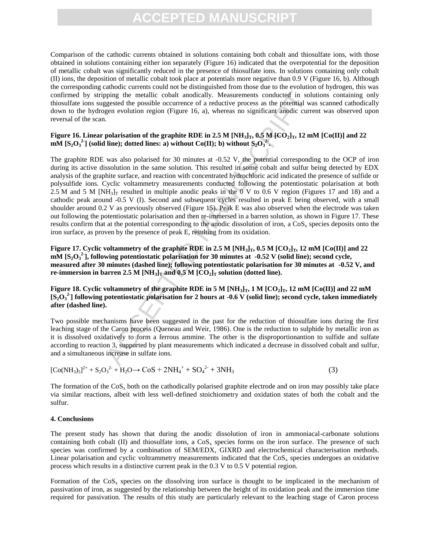### **CEPTED MANUS**

Comparison of the cathodic currents obtained in solutions containing both cobalt and thiosulfate ions, with those obtained in solutions containing either ion separately (Figure 16) indicated that the overpotential for the deposition of metallic cobalt was significantly reduced in the presence of thiosulfate ions. In solutions containing only cobalt (II) ions, the deposition of metallic cobalt took place at potentials more negative than 0.9 V (Figure 16, b). Although the corresponding cathodic currents could not be distinguished from those due to the evolution of hydrogen, this was confirmed by stripping the metallic cobalt anodically. Measurements conducted in solutions containing only thiosulfate ions suggested the possible occurrence of a reductive process as the potential was scanned cathodically down to the hydrogen evolution region (Figure 16, a), whereas no significant anodic current was observed upon reversal of the scan.

### **Figure 16. Linear polarisation of the graphite RDE in 2.5 M**  $[NH_3]_T$ **, 0.5 M**  $[CO_2]_T$ **, 12 mM**  $[CO(II)]$  **and 22**  $\textbf{mM}$  [S<sub>2</sub>O<sub>3</sub><sup>2</sup></sup>, (solid line); dotted lines: a) without Co(II); b) without S<sub>2</sub>O<sub>3</sub><sup>2</sup>.

pping the metallic cobalt anodically. Measurements conducted in solution<br>generated the possible occurrence of a reductive process as the potential way<br>generation region (Figure 16, a), whereas no significant anodic curre<br> The graphite RDE was also polarised for 30 minutes at -0.52 V, the potential corresponding to the OCP of iron during its active dissolution in the same solution. This resulted in some cobalt and sulfur being detected by EDX analysis of the graphite surface, and reaction with concentrated hydrochloric acid indicated the presence of sulfide or polysulfide ions. Cyclic voltammetry measurements conducted following the potentiostatic polarisation at both 2.5 M and 5 M  $[NH_3]_T$  resulted in multiple anodic peaks in the 0 V to 0.6 V region (Figures 17 and 18) and a cathodic peak around -0.5 V (I). Second and subsequent cycles resulted in peak E being observed, with a small shoulder around 0.2 V as previously observed (Figure 15). Peak E was also observed when the electrode was taken out following the potentiostatic polarisation and then re-immersed in a barren solution, as shown in Figure 17. These results confirm that at the potential corresponding to the anodic dissolution of iron, a  $\cos x$  species deposits onto the iron surface, as proven by the presence of peak E, resulting from its oxidation.

**Figure 17.** Cyclic voltammetry of the graphite RDE in 2.5 M  $[NH_3]_T$ , 0.5 M  $[CO_2]_T$ , 12 mM  $[CO(II)]$  and 22 **mM** [S<sub>2</sub>O<sub>3</sub><sup>2</sup>], following potentiostatic polarisation for 30 minutes at -0.52 V (solid line); second cycle, **measured after 30 minutes (dashed line); following potentiostatic polarisation for 30 minutes at -0.52 V, and re-immersion in barren 2.5 M**  $[NH_3]$ **<sup>T</sup> and 0.5 M**  $[CO_2]$ **<sup>T</sup> solution (dotted line).** 

**Figure 18. Cyclic voltammetry of the graphite RDE in 5 M**  $[NH_3]_T$ **, 1 M**  $[CO_2]_T$ **, 12 mM**  $[Co(II)]$  **and 22 mM [S2O<sup>3</sup> 2- ] following potentiostatic polarisation for 2 hours at -0.6 V (solid line); second cycle, taken immediately after (dashed line).**

Two possible mechanisms have been suggested in the past for the reduction of thiosulfate ions during the first leaching stage of the Caron process (Queneau and Weir, 1986). One is the reduction to sulphide by metallic iron as it is dissolved oxidatively to form a ferrous ammine. The other is the disproportionantion to sulfide and sulfate according to reaction 3, supported by plant measurements which indicated a decrease in dissolved cobalt and sulfur, and a simultaneous increase in sulfate ions.

$$
[Co(NH3)5]2+ + S2O32+ + H2O \to CoS + 2NH4+ + SO42- + 3NH3
$$
 (3)

The formation of the  $\cos_{x}$  both on the cathodically polarised graphite electrode and on iron may possibly take place via similar reactions, albeit with less well-defined stoichiometry and oxidation states of both the cobalt and the sulfur.

#### **4. Conclusions**

The present study has shown that during the anodic dissolution of iron in ammoniacal-carbonate solutions containing both cobalt (II) and thiosulfate ions, a  $\cos x$  species forms on the iron surface. The presence of such species was confirmed by a combination of SEM/EDX, GIXRD and electrochemical characterisation methods. Linear polarisation and cyclic voltrammetry measurements indicated that the  $\cos_{x}$  species undergoes an oxidative process which results in a distinctive current peak in the 0.3 V to 0.5 V potential region.

Formation of the  $\cos_{x}$  species on the dissolving iron surface is thought to be implicated in the mechanism of passivation of iron, as suggested by the relationship between the height of its oxidation peak and the immersion time required for passivation. The results of this study are particularly relevant to the leaching stage of Caron process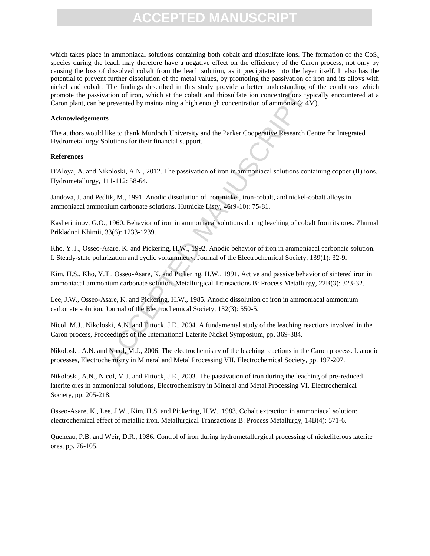which takes place in ammoniacal solutions containing both cobalt and thiosulfate ions. The formation of the  $\cos_x$ species during the leach may therefore have a negative effect on the efficiency of the Caron process, not only by causing the loss of dissolved cobalt from the leach solution, as it precipitates into the layer itself. It also has the potential to prevent further dissolution of the metal values, by promoting the passivation of iron and its alloys with nickel and cobalt. The findings described in this study provide a better understanding of the conditions which promote the passivation of iron, which at the cobalt and thiosulfate ion concentrations typically encountered at a Caron plant, can be prevented by maintaining a high enough concentration of ammonia ( $> 4M$ ).

#### **Acknowledgements**

The authors would like to thank Murdoch University and the Parker Cooperative Research Centre for Integrated Hydrometallurgy Solutions for their financial support.

#### **References**

D'Aloya, A. and Nikoloski, A.N., 2012. The passivation of iron in ammoniacal solutions containing copper (II) ions. Hydrometallurgy, 111-112: 58-64.

Jandova, J. and Pedlik, M., 1991. Anodic dissolution of iron-nickel, iron-cobalt, and nickel-cobalt alloys in ammoniacal ammonium carbonate solutions. Hutnicke Listy, 46(9-10): 75-81.

Kasherininov, G.O., 1960. Behavior of iron in ammoniacal solutions during leaching of cobalt from its ores. Zhurnal Prikladnoi Khimii, 33(6): 1233-1239.

Kho, Y.T., Osseo-Asare, K. and Pickering, H.W., 1992. Anodic behavior of iron in ammoniacal carbonate solution. I. Steady-state polarization and cyclic voltammetry. Journal of the Electrochemical Society, 139(1): 32-9.

Kim, H.S., Kho, Y.T., Osseo-Asare, K. and Pickering, H.W., 1991. Active and passive behavior of sintered iron in ammoniacal ammonium carbonate solution. Metallurgical Transactions B: Process Metallurgy, 22B(3): 323-32.

ation of iron, which at the cobalt and thiosulfate ion concentrations (ypipewented by maintaining a high enough concentration of ammonia ( $>4$  M<br>
1s<br>
like to thank Murdoch University and the Parker Cooperative Research Ce<br> Lee, J.W., Osseo-Asare, K. and Pickering, H.W., 1985. Anodic dissolution of iron in ammoniacal ammonium carbonate solution. Journal of the Electrochemical Society, 132(3): 550-5.

Nicol, M.J., Nikoloski, A.N. and Fittock, J.E., 2004. A fundamental study of the leaching reactions involved in the Caron process, Proceedings of the International Laterite Nickel Symposium, pp. 369-384.

Nikoloski, A.N. and Nicol, M.J., 2006. The electrochemistry of the leaching reactions in the Caron process. I. anodic processes, Electrochemistry in Mineral and Metal Processing VII. Electrochemical Society, pp. 197-207.

Nikoloski, A.N., Nicol, M.J. and Fittock, J.E., 2003. The passivation of iron during the leaching of pre-reduced laterite ores in ammoniacal solutions, Electrochemistry in Mineral and Metal Processing VI. Electrochemical Society, pp. 205-218.

Osseo-Asare, K., Lee, J.W., Kim, H.S. and Pickering, H.W., 1983. Cobalt extraction in ammoniacal solution: electrochemical effect of metallic iron. Metallurgical Transactions B: Process Metallurgy, 14B(4): 571-6.

Queneau, P.B. and Weir, D.R., 1986. Control of iron during hydrometallurgical processing of nickeliferous laterite ores, pp. 76-105.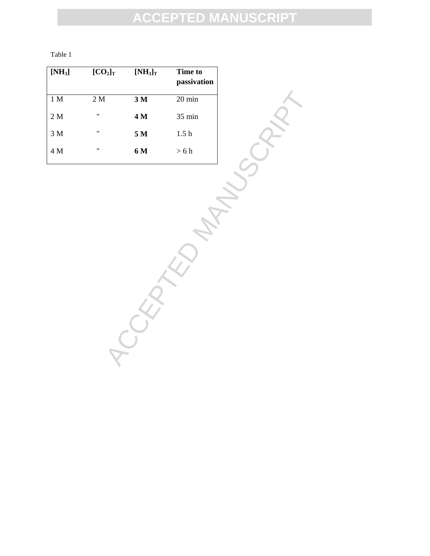| ۰.<br>۰,<br>۰. |  |
|----------------|--|
|----------------|--|

| $[NH_3]$       | $[CO_2]_T$        | $[NH_3]_T$     | <b>Time to</b><br>passivation |
|----------------|-------------------|----------------|-------------------------------|
| 1 <sub>M</sub> | 2 M               | 3 <sub>M</sub> | $20 \text{ min}$              |
| 2 M            | $^{\prime\prime}$ | 4 M            | $35 \text{ min}$              |
| 3 M            | $^{\prime\prime}$ | 5 M            | 1.5 <sub>h</sub>              |
| 4 M            | "                 | 6 M            | $>6$ h                        |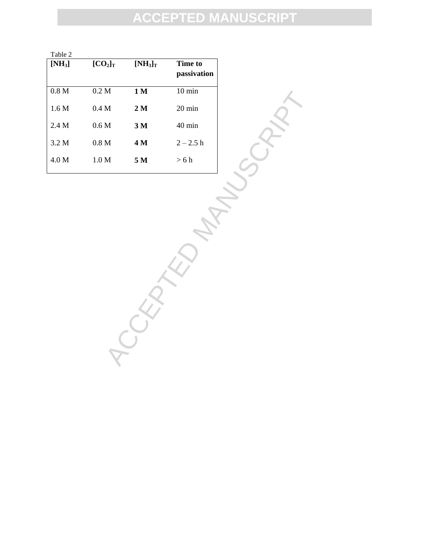| Table 2          |                  |                |                        |
|------------------|------------------|----------------|------------------------|
| $[NH_3]$         | $[CO_2]_T$       | $[NH_3]_T$     | Time to<br>passivation |
| 0.8 <sub>M</sub> | 0.2 M            | 1 M            | $10 \text{ min}$       |
| 1.6 M            | 0.4 M            | 2 <sub>M</sub> | $20 \text{ min}$       |
| 2.4 M            | 0.6 M            | 3 M            | $40 \text{ min}$       |
| 3.2 M            | 0.8 <sub>M</sub> | 4 M            | $2 - 2.5 h$            |
| 4.0 M            | 1.0 M            | 5 M            | $>6$ h                 |

M AN  $2M$ <br>
M  $3M$  40 min<br>
M  $4M$  2-2.5 h<br>
M  $5M$  > 6 h<br>
M  $\left(\frac{1}{2}\right)^{2}$ <br>
M  $\left(\frac{1}{2}\right)^{2}$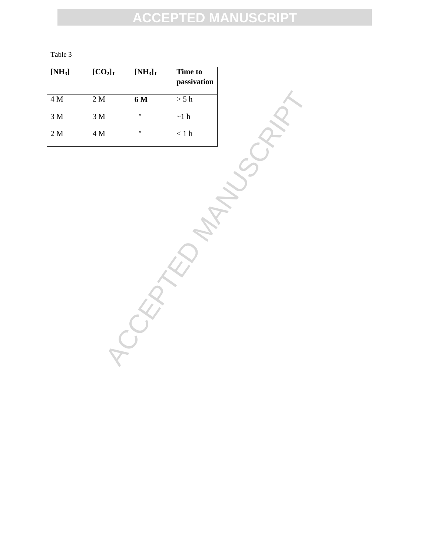|--|--|

| $[NH_3]$        | $[CO2]$ <sub>T</sub> | $\overline{\bf [NH_3]_T}$ | Time to<br>passivation |
|-----------------|----------------------|---------------------------|------------------------|
| $4\,\mathrm{M}$ | 2M                   | 6 <sub>M</sub>            | > 5 h                  |
| $3\ \mathrm{M}$ | $3\ \mathrm{M}$      | $\blacksquare$            | $\sim\!1$ h            |
| 2 M             | $4\,\mathrm{M}$      | $\pmb{\mathfrak{m}}$      | $< 1 \ \rm{h}$         |
|                 |                      |                           |                        |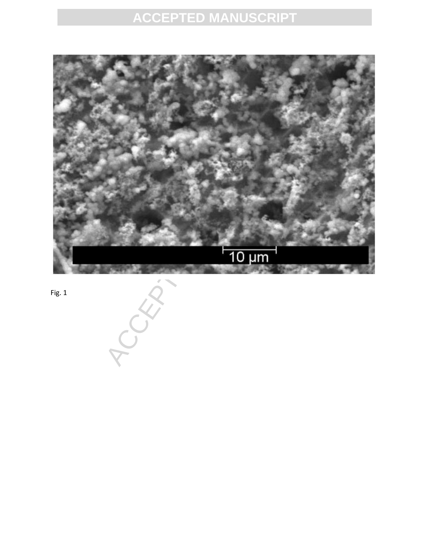

Fig. 1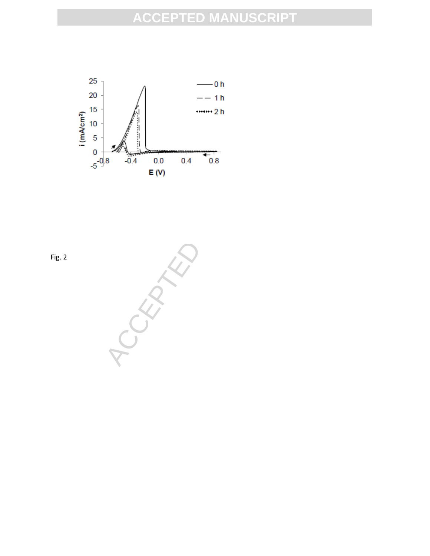

Fig. 2

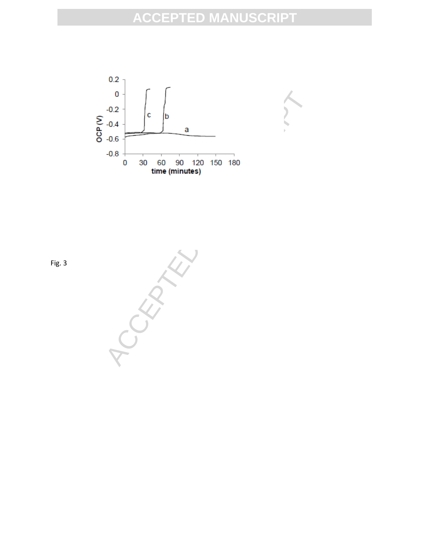



Fig. 3

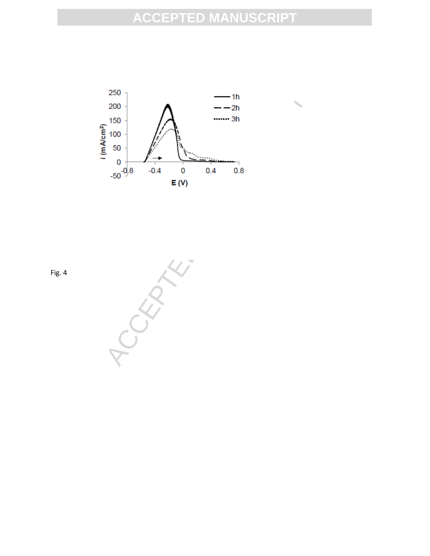

Fig. 4

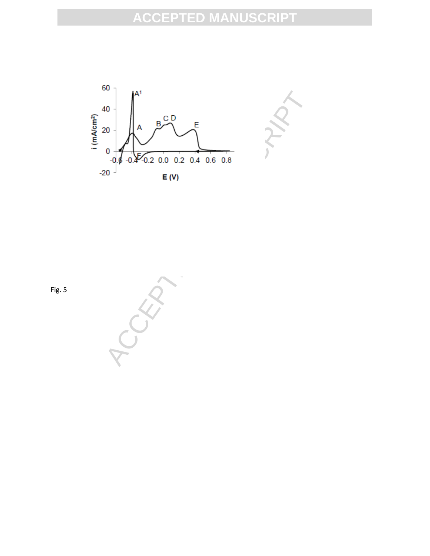

Fig. 5

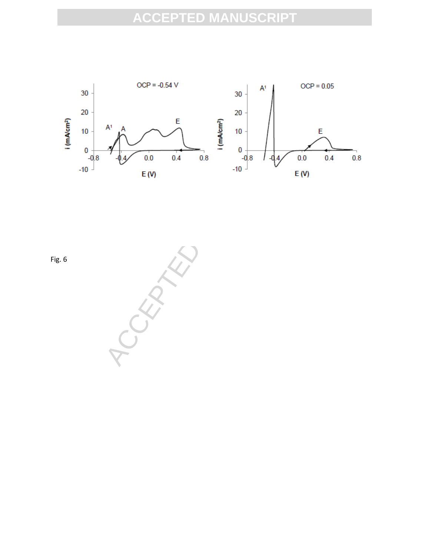

Fig. 6

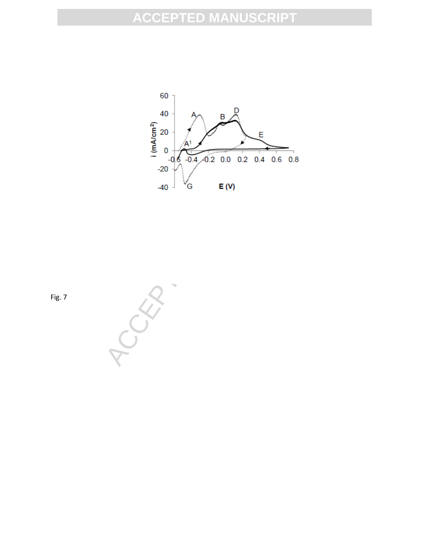

Fig. 7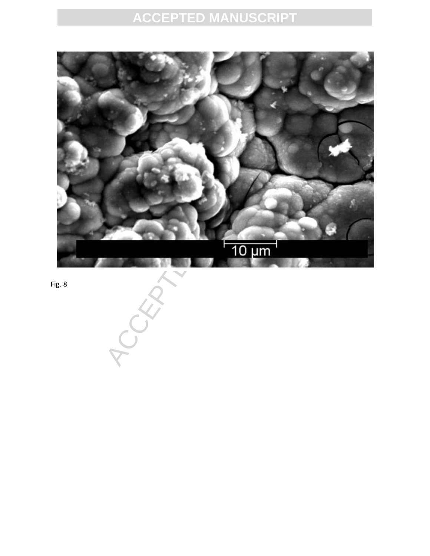

Fig. 8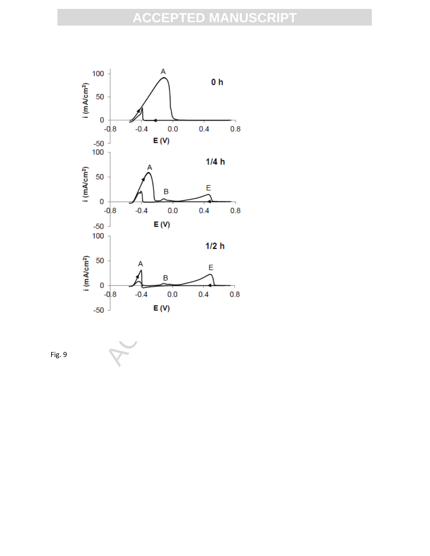

Fig. 9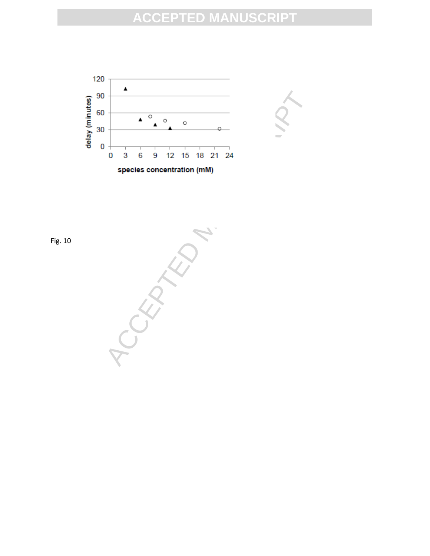



Fig. 10

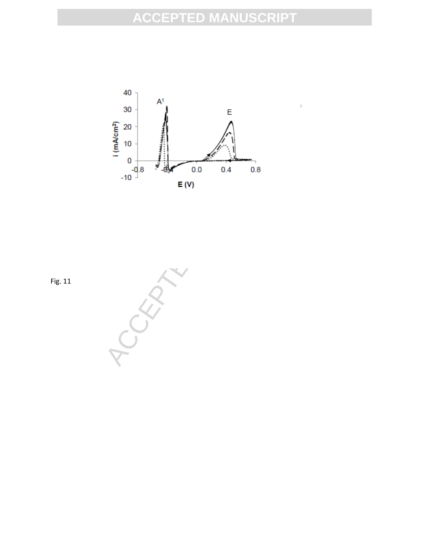

Fig. 11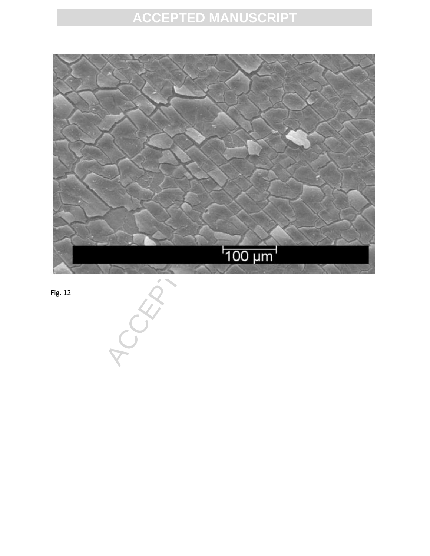

Fig. 12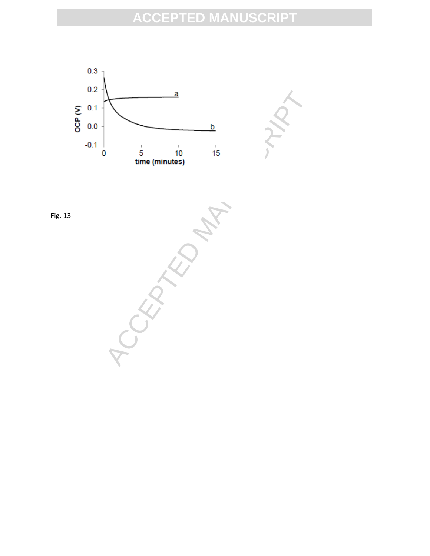

Fig. 13



ACCEPTED MANUSCRIPT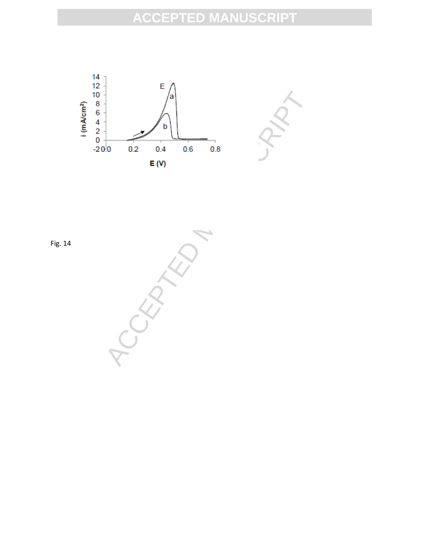



Fig. 14

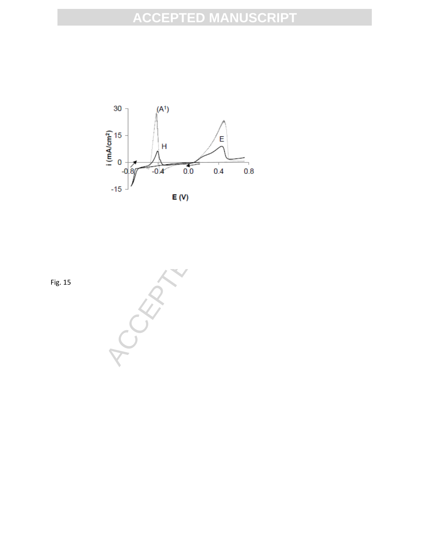

Fig. 15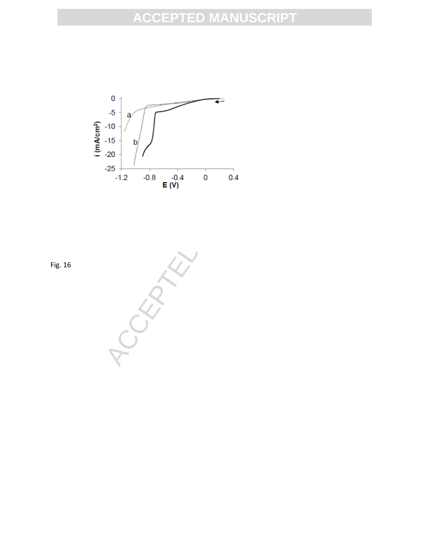

Fig. 16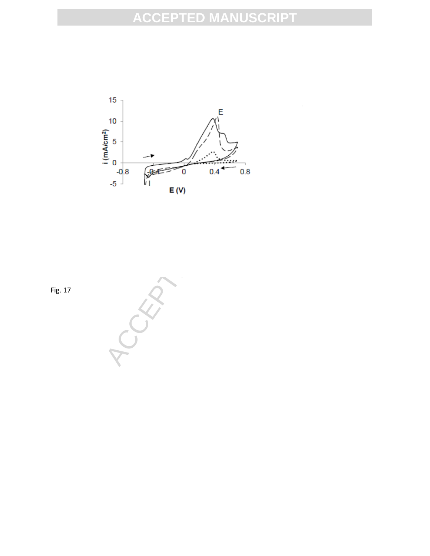

Fig. 17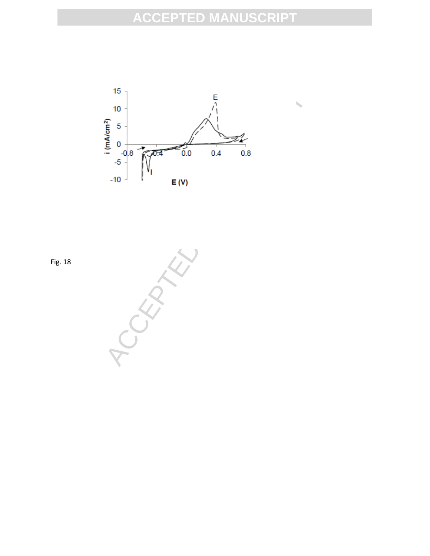

Fig. 18